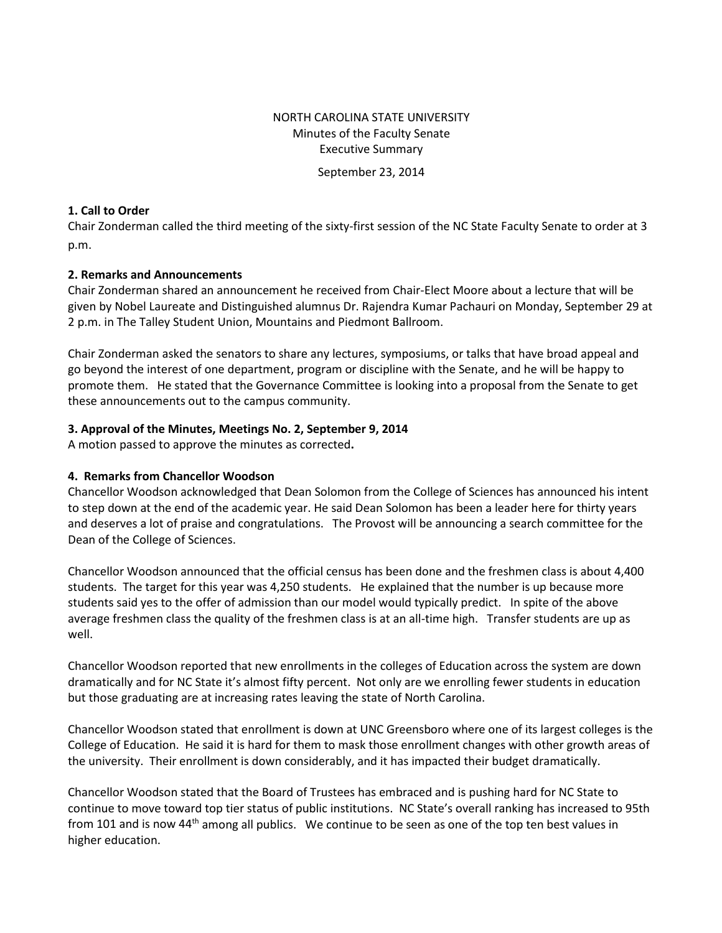# NORTH CAROLINA STATE UNIVERSITY Minutes of the Faculty Senate Executive Summary

September 23, 2014

#### **1. Call to Order**

Chair Zonderman called the third meeting of the sixty-first session of the NC State Faculty Senate to order at 3 p.m.

#### **2. Remarks and Announcements**

Chair Zonderman shared an announcement he received from Chair-Elect Moore about a lecture that will be given by Nobel Laureate and Distinguished alumnus Dr. Rajendra Kumar Pachauri on Monday, September 29 at 2 p.m. in The Talley Student Union, Mountains and Piedmont Ballroom.

Chair Zonderman asked the senators to share any lectures, symposiums, or talks that have broad appeal and go beyond the interest of one department, program or discipline with the Senate, and he will be happy to promote them. He stated that the Governance Committee is looking into a proposal from the Senate to get these announcements out to the campus community.

#### **3. Approval of the Minutes, Meetings No. 2, September 9, 2014**

A motion passed to approve the minutes as corrected**.** 

#### **4. Remarks from Chancellor Woodson**

Chancellor Woodson acknowledged that Dean Solomon from the College of Sciences has announced his intent to step down at the end of the academic year. He said Dean Solomon has been a leader here for thirty years and deserves a lot of praise and congratulations. The Provost will be announcing a search committee for the Dean of the College of Sciences.

Chancellor Woodson announced that the official census has been done and the freshmen class is about 4,400 students. The target for this year was 4,250 students. He explained that the number is up because more students said yes to the offer of admission than our model would typically predict. In spite of the above average freshmen class the quality of the freshmen class is at an all-time high. Transfer students are up as well.

Chancellor Woodson reported that new enrollments in the colleges of Education across the system are down dramatically and for NC State it's almost fifty percent. Not only are we enrolling fewer students in education but those graduating are at increasing rates leaving the state of North Carolina.

Chancellor Woodson stated that enrollment is down at UNC Greensboro where one of its largest colleges is the College of Education. He said it is hard for them to mask those enrollment changes with other growth areas of the university. Their enrollment is down considerably, and it has impacted their budget dramatically.

Chancellor Woodson stated that the Board of Trustees has embraced and is pushing hard for NC State to continue to move toward top tier status of public institutions. NC State's overall ranking has increased to 95th from 101 and is now 44<sup>th</sup> among all publics. We continue to be seen as one of the top ten best values in higher education.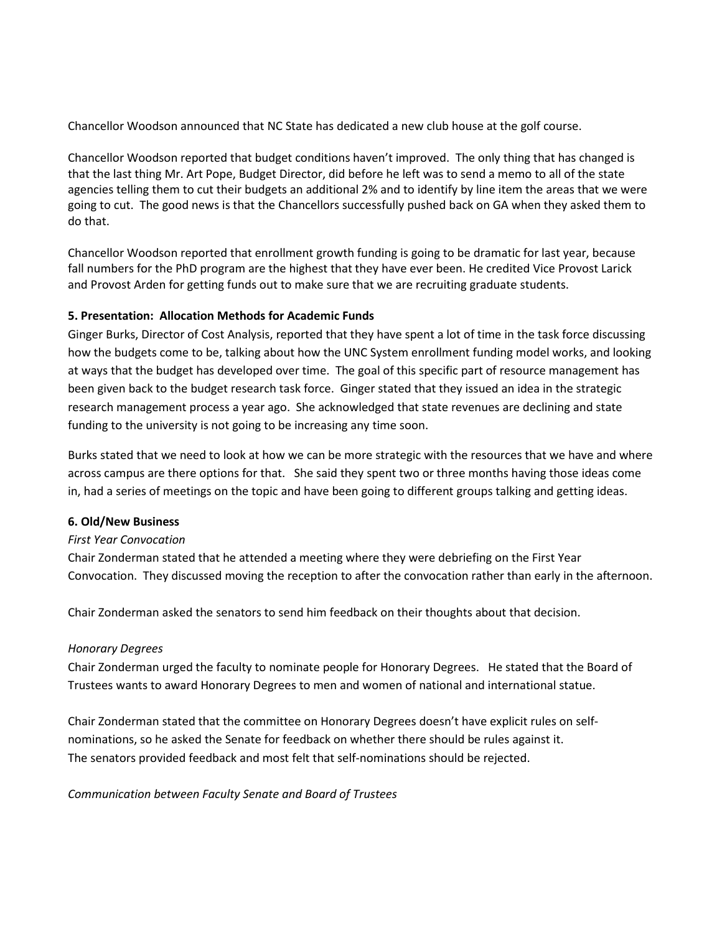Chancellor Woodson announced that NC State has dedicated a new club house at the golf course.

Chancellor Woodson reported that budget conditions haven't improved. The only thing that has changed is that the last thing Mr. Art Pope, Budget Director, did before he left was to send a memo to all of the state agencies telling them to cut their budgets an additional 2% and to identify by line item the areas that we were going to cut. The good news is that the Chancellors successfully pushed back on GA when they asked them to do that.

Chancellor Woodson reported that enrollment growth funding is going to be dramatic for last year, because fall numbers for the PhD program are the highest that they have ever been. He credited Vice Provost Larick and Provost Arden for getting funds out to make sure that we are recruiting graduate students.

## **5. Presentation: Allocation Methods for Academic Funds**

Ginger Burks, Director of Cost Analysis, reported that they have spent a lot of time in the task force discussing how the budgets come to be, talking about how the UNC System enrollment funding model works, and looking at ways that the budget has developed over time. The goal of this specific part of resource management has been given back to the budget research task force. Ginger stated that they issued an idea in the strategic research management process a year ago. She acknowledged that state revenues are declining and state funding to the university is not going to be increasing any time soon.

Burks stated that we need to look at how we can be more strategic with the resources that we have and where across campus are there options for that. She said they spent two or three months having those ideas come in, had a series of meetings on the topic and have been going to different groups talking and getting ideas.

#### **6. Old/New Business**

#### *First Year Convocation*

Chair Zonderman stated that he attended a meeting where they were debriefing on the First Year Convocation. They discussed moving the reception to after the convocation rather than early in the afternoon.

Chair Zonderman asked the senators to send him feedback on their thoughts about that decision.

#### *Honorary Degrees*

Chair Zonderman urged the faculty to nominate people for Honorary Degrees. He stated that the Board of Trustees wants to award Honorary Degrees to men and women of national and international statue.

Chair Zonderman stated that the committee on Honorary Degrees doesn't have explicit rules on selfnominations, so he asked the Senate for feedback on whether there should be rules against it. The senators provided feedback and most felt that self-nominations should be rejected.

*Communication between Faculty Senate and Board of Trustees*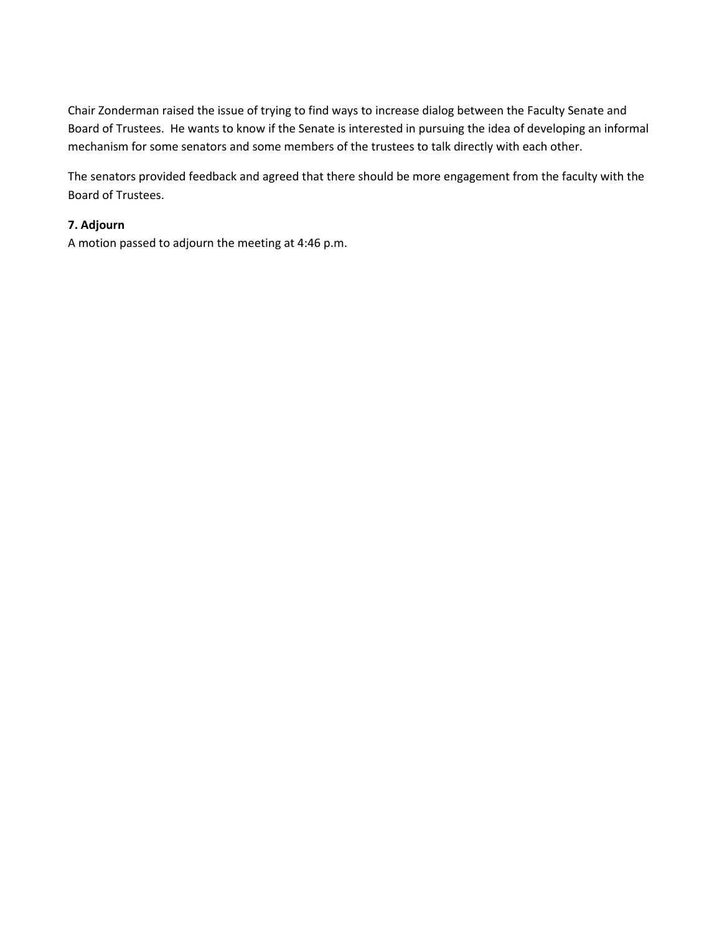Chair Zonderman raised the issue of trying to find ways to increase dialog between the Faculty Senate and Board of Trustees. He wants to know if the Senate is interested in pursuing the idea of developing an informal mechanism for some senators and some members of the trustees to talk directly with each other.

The senators provided feedback and agreed that there should be more engagement from the faculty with the Board of Trustees.

## **7. Adjourn**

A motion passed to adjourn the meeting at 4:46 p.m.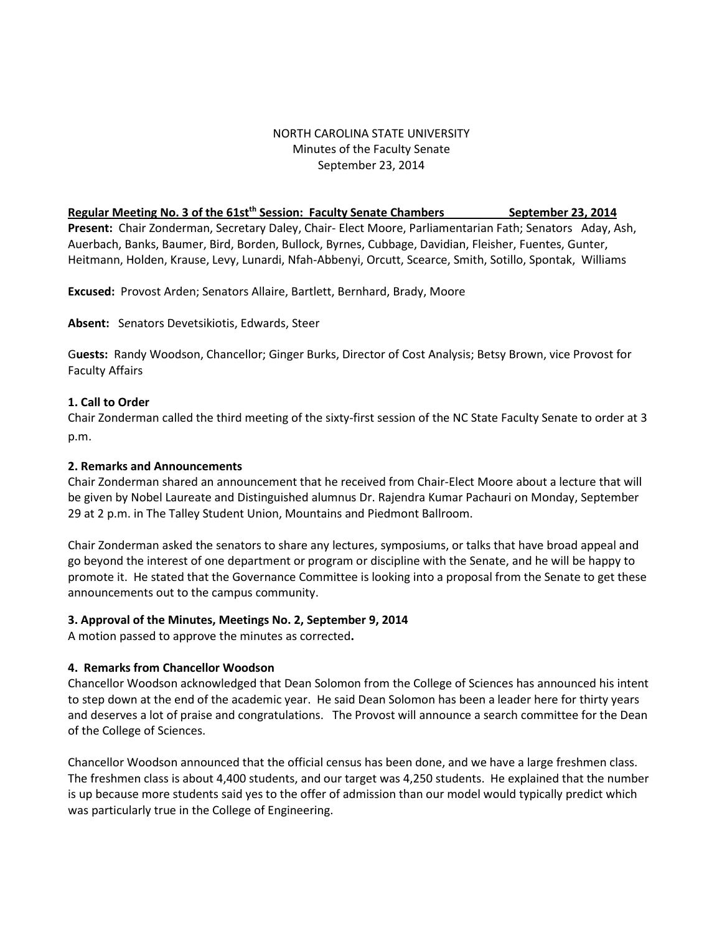## NORTH CAROLINA STATE UNIVERSITY Minutes of the Faculty Senate September 23, 2014

#### **Regular Meeting No. 3 of the 61st<sup>th</sup> Session: Faculty Senate Chambers September 23, 2014**

**Present:** Chair Zonderman, Secretary Daley, Chair- Elect Moore, Parliamentarian Fath; Senators Aday, Ash, Auerbach, Banks, Baumer, Bird, Borden, Bullock, Byrnes, Cubbage, Davidian, Fleisher, Fuentes, Gunter, Heitmann, Holden, Krause, Levy, Lunardi, Nfah-Abbenyi, Orcutt, Scearce, Smith, Sotillo, Spontak, Williams

**Excused:** Provost Arden; Senators Allaire, Bartlett, Bernhard, Brady, Moore

**Absent:** S*e*nators Devetsikiotis, Edwards, Steer

G**uests:** Randy Woodson, Chancellor; Ginger Burks, Director of Cost Analysis; Betsy Brown, vice Provost for Faculty Affairs

## **1. Call to Order**

Chair Zonderman called the third meeting of the sixty-first session of the NC State Faculty Senate to order at 3 p.m.

### **2. Remarks and Announcements**

Chair Zonderman shared an announcement that he received from Chair-Elect Moore about a lecture that will be given by Nobel Laureate and Distinguished alumnus Dr. Rajendra Kumar Pachauri on Monday, September 29 at 2 p.m. in The Talley Student Union, Mountains and Piedmont Ballroom.

Chair Zonderman asked the senators to share any lectures, symposiums, or talks that have broad appeal and go beyond the interest of one department or program or discipline with the Senate, and he will be happy to promote it. He stated that the Governance Committee is looking into a proposal from the Senate to get these announcements out to the campus community.

#### **3. Approval of the Minutes, Meetings No. 2, September 9, 2014**

A motion passed to approve the minutes as corrected**.** 

# **4. Remarks from Chancellor Woodson**

Chancellor Woodson acknowledged that Dean Solomon from the College of Sciences has announced his intent to step down at the end of the academic year. He said Dean Solomon has been a leader here for thirty years and deserves a lot of praise and congratulations. The Provost will announce a search committee for the Dean of the College of Sciences.

Chancellor Woodson announced that the official census has been done, and we have a large freshmen class. The freshmen class is about 4,400 students, and our target was 4,250 students. He explained that the number is up because more students said yes to the offer of admission than our model would typically predict which was particularly true in the College of Engineering.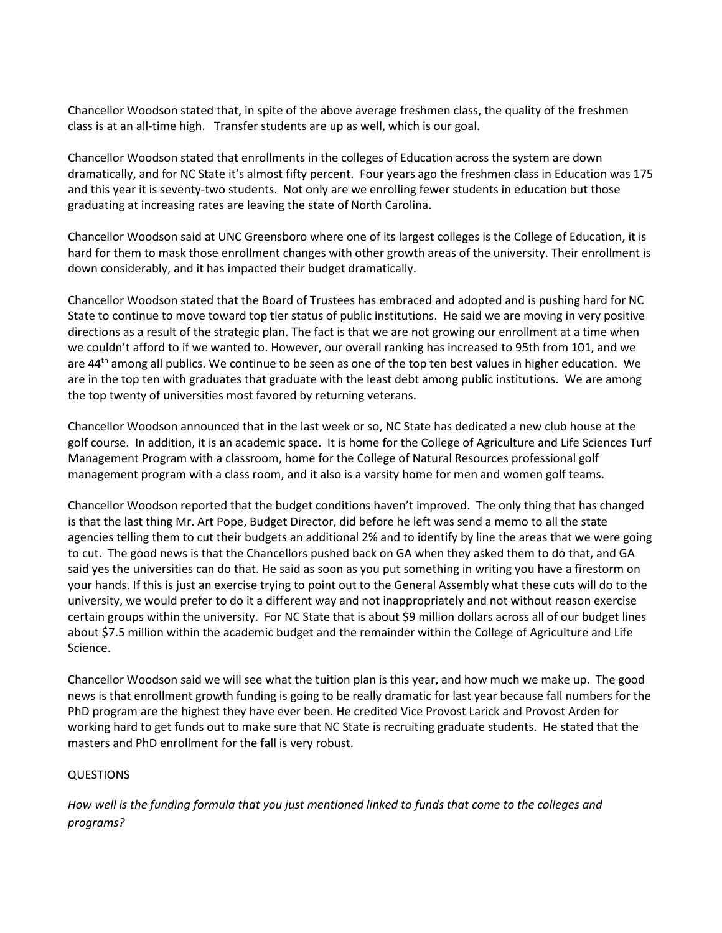Chancellor Woodson stated that, in spite of the above average freshmen class, the quality of the freshmen class is at an all-time high. Transfer students are up as well, which is our goal.

Chancellor Woodson stated that enrollments in the colleges of Education across the system are down dramatically, and for NC State it's almost fifty percent. Four years ago the freshmen class in Education was 175 and this year it is seventy-two students. Not only are we enrolling fewer students in education but those graduating at increasing rates are leaving the state of North Carolina.

Chancellor Woodson said at UNC Greensboro where one of its largest colleges is the College of Education, it is hard for them to mask those enrollment changes with other growth areas of the university. Their enrollment is down considerably, and it has impacted their budget dramatically.

Chancellor Woodson stated that the Board of Trustees has embraced and adopted and is pushing hard for NC State to continue to move toward top tier status of public institutions. He said we are moving in very positive directions as a result of the strategic plan. The fact is that we are not growing our enrollment at a time when we couldn't afford to if we wanted to. However, our overall ranking has increased to 95th from 101, and we are 44<sup>th</sup> among all publics. We continue to be seen as one of the top ten best values in higher education. We are in the top ten with graduates that graduate with the least debt among public institutions. We are among the top twenty of universities most favored by returning veterans.

Chancellor Woodson announced that in the last week or so, NC State has dedicated a new club house at the golf course. In addition, it is an academic space. It is home for the College of Agriculture and Life Sciences Turf Management Program with a classroom, home for the College of Natural Resources professional golf management program with a class room, and it also is a varsity home for men and women golf teams.

Chancellor Woodson reported that the budget conditions haven't improved. The only thing that has changed is that the last thing Mr. Art Pope, Budget Director, did before he left was send a memo to all the state agencies telling them to cut their budgets an additional 2% and to identify by line the areas that we were going to cut. The good news is that the Chancellors pushed back on GA when they asked them to do that, and GA said yes the universities can do that. He said as soon as you put something in writing you have a firestorm on your hands. If this is just an exercise trying to point out to the General Assembly what these cuts will do to the university, we would prefer to do it a different way and not inappropriately and not without reason exercise certain groups within the university. For NC State that is about \$9 million dollars across all of our budget lines about \$7.5 million within the academic budget and the remainder within the College of Agriculture and Life Science.

Chancellor Woodson said we will see what the tuition plan is this year, and how much we make up. The good news is that enrollment growth funding is going to be really dramatic for last year because fall numbers for the PhD program are the highest they have ever been. He credited Vice Provost Larick and Provost Arden for working hard to get funds out to make sure that NC State is recruiting graduate students. He stated that the masters and PhD enrollment for the fall is very robust.

#### QUESTIONS

*How well is the funding formula that you just mentioned linked to funds that come to the colleges and programs?*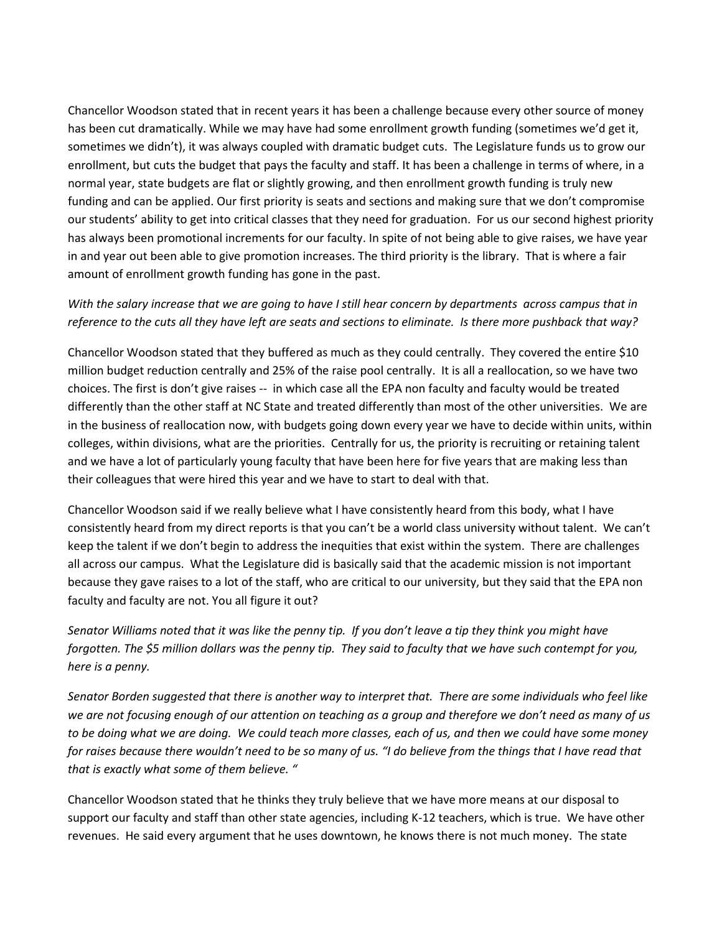Chancellor Woodson stated that in recent years it has been a challenge because every other source of money has been cut dramatically. While we may have had some enrollment growth funding (sometimes we'd get it, sometimes we didn't), it was always coupled with dramatic budget cuts. The Legislature funds us to grow our enrollment, but cuts the budget that pays the faculty and staff. It has been a challenge in terms of where, in a normal year, state budgets are flat or slightly growing, and then enrollment growth funding is truly new funding and can be applied. Our first priority is seats and sections and making sure that we don't compromise our students' ability to get into critical classes that they need for graduation. For us our second highest priority has always been promotional increments for our faculty. In spite of not being able to give raises, we have year in and year out been able to give promotion increases. The third priority is the library. That is where a fair amount of enrollment growth funding has gone in the past.

# *With the salary increase that we are going to have I still hear concern by departments across campus that in reference to the cuts all they have left are seats and sections to eliminate. Is there more pushback that way?*

Chancellor Woodson stated that they buffered as much as they could centrally. They covered the entire \$10 million budget reduction centrally and 25% of the raise pool centrally. It is all a reallocation, so we have two choices. The first is don't give raises -- in which case all the EPA non faculty and faculty would be treated differently than the other staff at NC State and treated differently than most of the other universities. We are in the business of reallocation now, with budgets going down every year we have to decide within units, within colleges, within divisions, what are the priorities. Centrally for us, the priority is recruiting or retaining talent and we have a lot of particularly young faculty that have been here for five years that are making less than their colleagues that were hired this year and we have to start to deal with that.

Chancellor Woodson said if we really believe what I have consistently heard from this body, what I have consistently heard from my direct reports is that you can't be a world class university without talent. We can't keep the talent if we don't begin to address the inequities that exist within the system. There are challenges all across our campus. What the Legislature did is basically said that the academic mission is not important because they gave raises to a lot of the staff, who are critical to our university, but they said that the EPA non faculty and faculty are not. You all figure it out?

*Senator Williams noted that it was like the penny tip. If you don't leave a tip they think you might have forgotten. The \$5 million dollars was the penny tip. They said to faculty that we have such contempt for you, here is a penny.* 

*Senator Borden suggested that there is another way to interpret that. There are some individuals who feel like we are not focusing enough of our attention on teaching as a group and therefore we don't need as many of us to be doing what we are doing. We could teach more classes, each of us, and then we could have some money for raises because there wouldn't need to be so many of us. "I do believe from the things that I have read that that is exactly what some of them believe. "*

Chancellor Woodson stated that he thinks they truly believe that we have more means at our disposal to support our faculty and staff than other state agencies, including K-12 teachers, which is true. We have other revenues. He said every argument that he uses downtown, he knows there is not much money. The state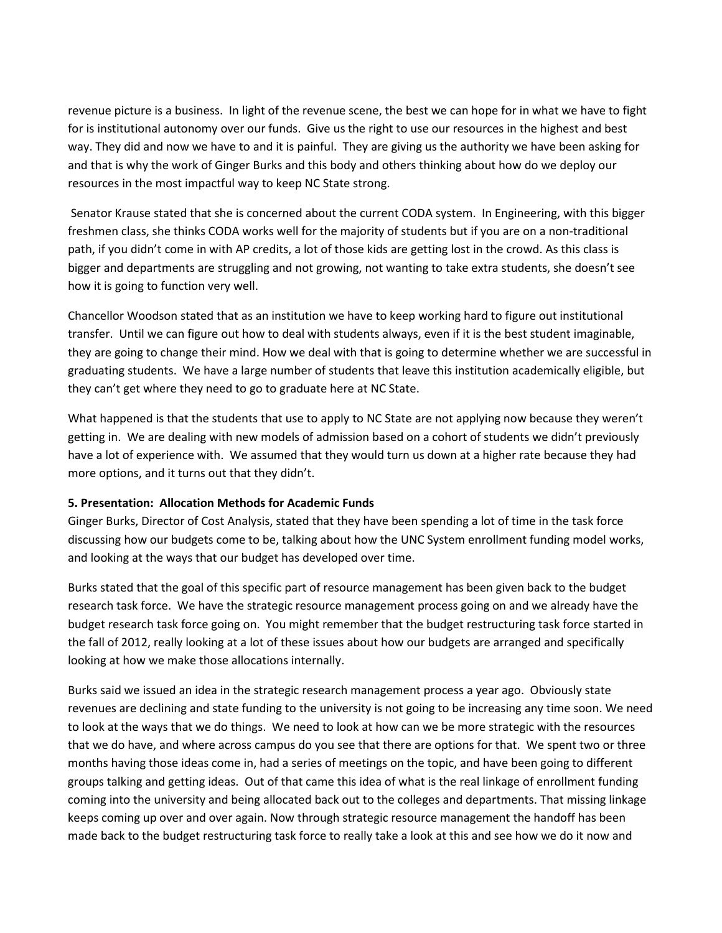revenue picture is a business. In light of the revenue scene, the best we can hope for in what we have to fight for is institutional autonomy over our funds. Give us the right to use our resources in the highest and best way. They did and now we have to and it is painful. They are giving us the authority we have been asking for and that is why the work of Ginger Burks and this body and others thinking about how do we deploy our resources in the most impactful way to keep NC State strong.

Senator Krause stated that she is concerned about the current CODA system. In Engineering, with this bigger freshmen class, she thinks CODA works well for the majority of students but if you are on a non-traditional path, if you didn't come in with AP credits, a lot of those kids are getting lost in the crowd. As this class is bigger and departments are struggling and not growing, not wanting to take extra students, she doesn't see how it is going to function very well.

Chancellor Woodson stated that as an institution we have to keep working hard to figure out institutional transfer. Until we can figure out how to deal with students always, even if it is the best student imaginable, they are going to change their mind. How we deal with that is going to determine whether we are successful in graduating students. We have a large number of students that leave this institution academically eligible, but they can't get where they need to go to graduate here at NC State.

What happened is that the students that use to apply to NC State are not applying now because they weren't getting in. We are dealing with new models of admission based on a cohort of students we didn't previously have a lot of experience with. We assumed that they would turn us down at a higher rate because they had more options, and it turns out that they didn't.

#### **5. Presentation: Allocation Methods for Academic Funds**

Ginger Burks, Director of Cost Analysis, stated that they have been spending a lot of time in the task force discussing how our budgets come to be, talking about how the UNC System enrollment funding model works, and looking at the ways that our budget has developed over time.

Burks stated that the goal of this specific part of resource management has been given back to the budget research task force. We have the strategic resource management process going on and we already have the budget research task force going on. You might remember that the budget restructuring task force started in the fall of 2012, really looking at a lot of these issues about how our budgets are arranged and specifically looking at how we make those allocations internally.

Burks said we issued an idea in the strategic research management process a year ago. Obviously state revenues are declining and state funding to the university is not going to be increasing any time soon. We need to look at the ways that we do things. We need to look at how can we be more strategic with the resources that we do have, and where across campus do you see that there are options for that. We spent two or three months having those ideas come in, had a series of meetings on the topic, and have been going to different groups talking and getting ideas. Out of that came this idea of what is the real linkage of enrollment funding coming into the university and being allocated back out to the colleges and departments. That missing linkage keeps coming up over and over again. Now through strategic resource management the handoff has been made back to the budget restructuring task force to really take a look at this and see how we do it now and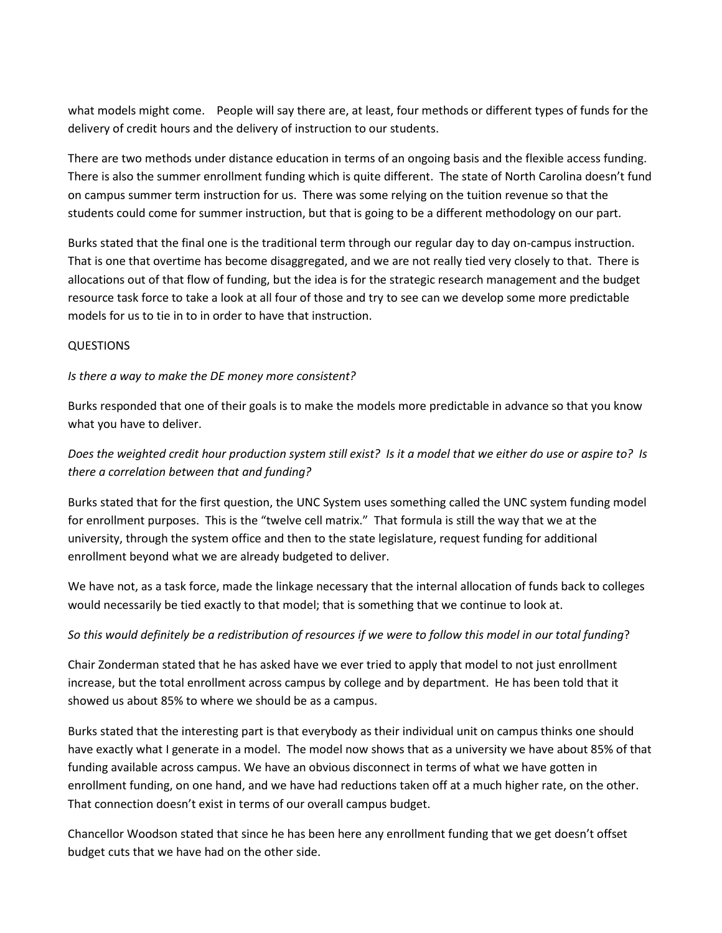what models might come. People will say there are, at least, four methods or different types of funds for the delivery of credit hours and the delivery of instruction to our students.

There are two methods under distance education in terms of an ongoing basis and the flexible access funding. There is also the summer enrollment funding which is quite different. The state of North Carolina doesn't fund on campus summer term instruction for us. There was some relying on the tuition revenue so that the students could come for summer instruction, but that is going to be a different methodology on our part.

Burks stated that the final one is the traditional term through our regular day to day on-campus instruction. That is one that overtime has become disaggregated, and we are not really tied very closely to that. There is allocations out of that flow of funding, but the idea is for the strategic research management and the budget resource task force to take a look at all four of those and try to see can we develop some more predictable models for us to tie in to in order to have that instruction.

## **QUESTIONS**

## *Is there a way to make the DE money more consistent?*

Burks responded that one of their goals is to make the models more predictable in advance so that you know what you have to deliver.

*Does the weighted credit hour production system still exist? Is it a model that we either do use or aspire to? Is there a correlation between that and funding?*

Burks stated that for the first question, the UNC System uses something called the UNC system funding model for enrollment purposes. This is the "twelve cell matrix." That formula is still the way that we at the university, through the system office and then to the state legislature, request funding for additional enrollment beyond what we are already budgeted to deliver.

We have not, as a task force, made the linkage necessary that the internal allocation of funds back to colleges would necessarily be tied exactly to that model; that is something that we continue to look at.

# *So this would definitely be a redistribution of resources if we were to follow this model in our total funding*?

Chair Zonderman stated that he has asked have we ever tried to apply that model to not just enrollment increase, but the total enrollment across campus by college and by department. He has been told that it showed us about 85% to where we should be as a campus.

Burks stated that the interesting part is that everybody as their individual unit on campus thinks one should have exactly what I generate in a model. The model now shows that as a university we have about 85% of that funding available across campus. We have an obvious disconnect in terms of what we have gotten in enrollment funding, on one hand, and we have had reductions taken off at a much higher rate, on the other. That connection doesn't exist in terms of our overall campus budget.

Chancellor Woodson stated that since he has been here any enrollment funding that we get doesn't offset budget cuts that we have had on the other side.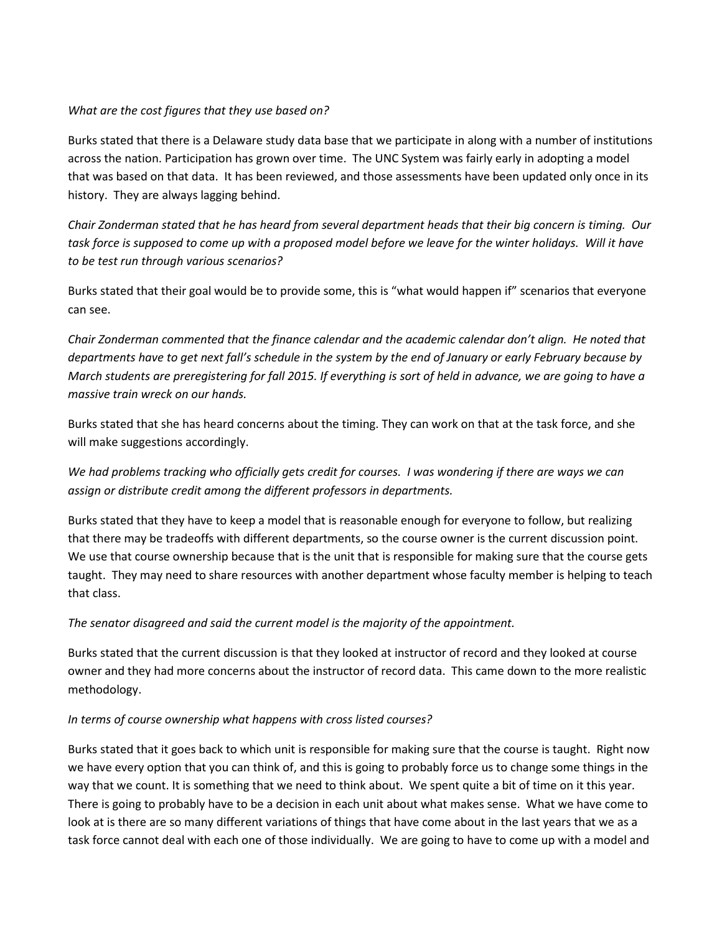## *What are the cost figures that they use based on?*

Burks stated that there is a Delaware study data base that we participate in along with a number of institutions across the nation. Participation has grown over time. The UNC System was fairly early in adopting a model that was based on that data. It has been reviewed, and those assessments have been updated only once in its history. They are always lagging behind.

*Chair Zonderman stated that he has heard from several department heads that their big concern is timing. Our task force is supposed to come up with a proposed model before we leave for the winter holidays. Will it have to be test run through various scenarios?* 

Burks stated that their goal would be to provide some, this is "what would happen if" scenarios that everyone can see.

*Chair Zonderman commented that the finance calendar and the academic calendar don't align. He noted that departments have to get next fall's schedule in the system by the end of January or early February because by March students are preregistering for fall 2015. If everything is sort of held in advance, we are going to have a massive train wreck on our hands.* 

Burks stated that she has heard concerns about the timing. They can work on that at the task force, and she will make suggestions accordingly.

*We had problems tracking who officially gets credit for courses. I was wondering if there are ways we can assign or distribute credit among the different professors in departments.* 

Burks stated that they have to keep a model that is reasonable enough for everyone to follow, but realizing that there may be tradeoffs with different departments, so the course owner is the current discussion point. We use that course ownership because that is the unit that is responsible for making sure that the course gets taught. They may need to share resources with another department whose faculty member is helping to teach that class.

*The senator disagreed and said the current model is the majority of the appointment.* 

Burks stated that the current discussion is that they looked at instructor of record and they looked at course owner and they had more concerns about the instructor of record data. This came down to the more realistic methodology.

#### *In terms of course ownership what happens with cross listed courses?*

Burks stated that it goes back to which unit is responsible for making sure that the course is taught. Right now we have every option that you can think of, and this is going to probably force us to change some things in the way that we count. It is something that we need to think about. We spent quite a bit of time on it this year. There is going to probably have to be a decision in each unit about what makes sense. What we have come to look at is there are so many different variations of things that have come about in the last years that we as a task force cannot deal with each one of those individually. We are going to have to come up with a model and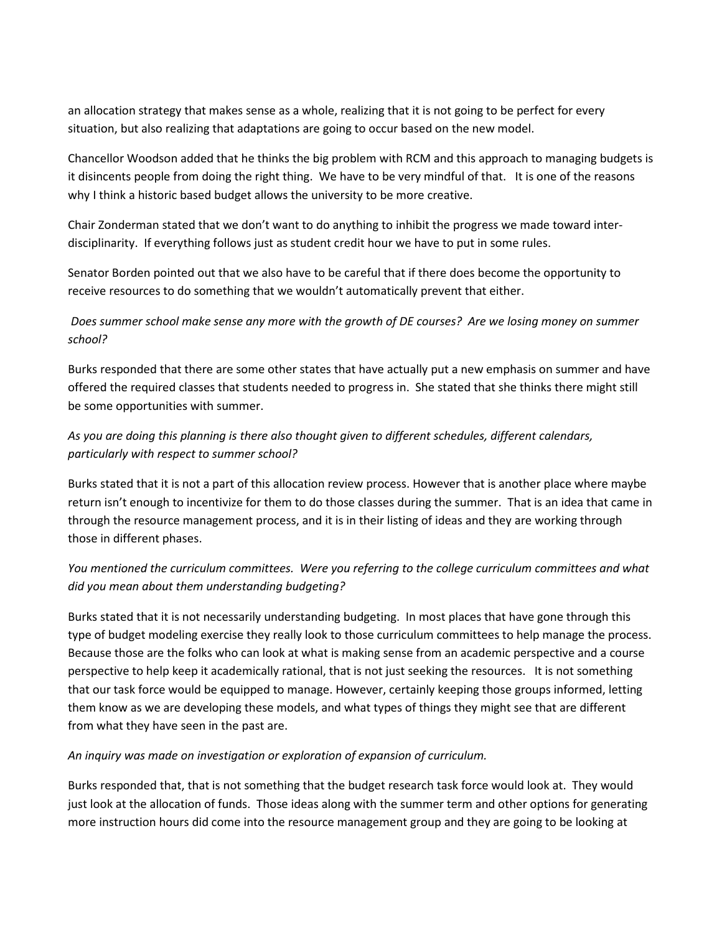an allocation strategy that makes sense as a whole, realizing that it is not going to be perfect for every situation, but also realizing that adaptations are going to occur based on the new model.

Chancellor Woodson added that he thinks the big problem with RCM and this approach to managing budgets is it disincents people from doing the right thing. We have to be very mindful of that. It is one of the reasons why I think a historic based budget allows the university to be more creative.

Chair Zonderman stated that we don't want to do anything to inhibit the progress we made toward interdisciplinarity. If everything follows just as student credit hour we have to put in some rules.

Senator Borden pointed out that we also have to be careful that if there does become the opportunity to receive resources to do something that we wouldn't automatically prevent that either.

# *Does summer school make sense any more with the growth of DE courses? Are we losing money on summer school?*

Burks responded that there are some other states that have actually put a new emphasis on summer and have offered the required classes that students needed to progress in. She stated that she thinks there might still be some opportunities with summer.

# *As you are doing this planning is there also thought given to different schedules, different calendars, particularly with respect to summer school?*

Burks stated that it is not a part of this allocation review process. However that is another place where maybe return isn't enough to incentivize for them to do those classes during the summer. That is an idea that came in through the resource management process, and it is in their listing of ideas and they are working through those in different phases.

# *You mentioned the curriculum committees. Were you referring to the college curriculum committees and what did you mean about them understanding budgeting?*

Burks stated that it is not necessarily understanding budgeting. In most places that have gone through this type of budget modeling exercise they really look to those curriculum committees to help manage the process. Because those are the folks who can look at what is making sense from an academic perspective and a course perspective to help keep it academically rational, that is not just seeking the resources. It is not something that our task force would be equipped to manage. However, certainly keeping those groups informed, letting them know as we are developing these models, and what types of things they might see that are different from what they have seen in the past are.

# *An inquiry was made on investigation or exploration of expansion of curriculum.*

Burks responded that, that is not something that the budget research task force would look at. They would just look at the allocation of funds. Those ideas along with the summer term and other options for generating more instruction hours did come into the resource management group and they are going to be looking at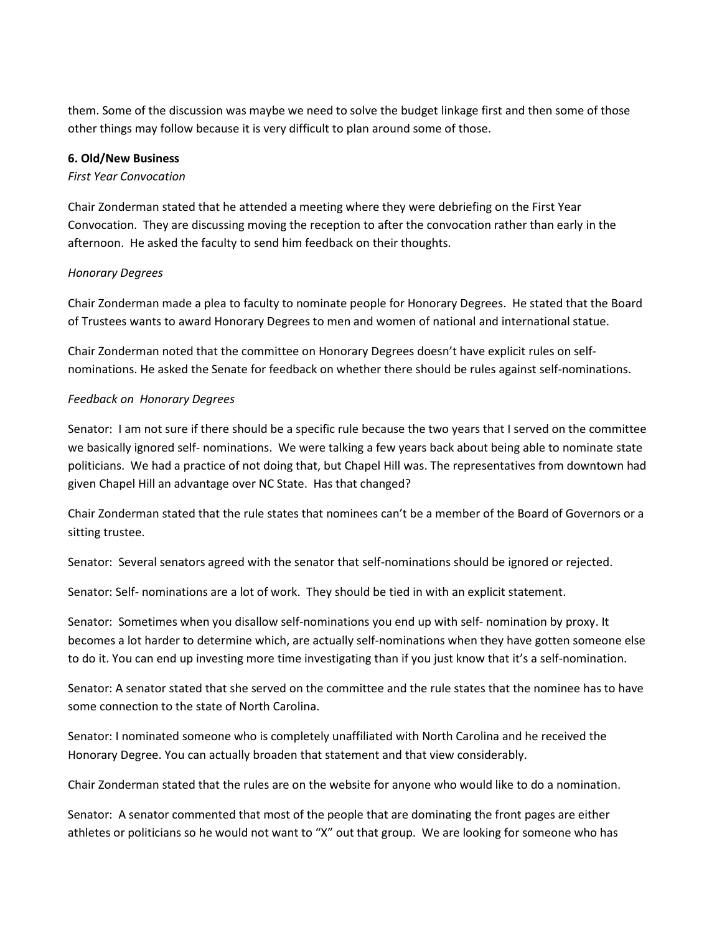them. Some of the discussion was maybe we need to solve the budget linkage first and then some of those other things may follow because it is very difficult to plan around some of those.

#### **6. Old/New Business**

#### *First Year Convocation*

Chair Zonderman stated that he attended a meeting where they were debriefing on the First Year Convocation. They are discussing moving the reception to after the convocation rather than early in the afternoon. He asked the faculty to send him feedback on their thoughts.

#### *Honorary Degrees*

Chair Zonderman made a plea to faculty to nominate people for Honorary Degrees. He stated that the Board of Trustees wants to award Honorary Degrees to men and women of national and international statue.

Chair Zonderman noted that the committee on Honorary Degrees doesn't have explicit rules on selfnominations. He asked the Senate for feedback on whether there should be rules against self-nominations.

#### *Feedback on Honorary Degrees*

Senator: I am not sure if there should be a specific rule because the two years that I served on the committee we basically ignored self- nominations. We were talking a few years back about being able to nominate state politicians. We had a practice of not doing that, but Chapel Hill was. The representatives from downtown had given Chapel Hill an advantage over NC State. Has that changed?

Chair Zonderman stated that the rule states that nominees can't be a member of the Board of Governors or a sitting trustee.

Senator: Several senators agreed with the senator that self-nominations should be ignored or rejected.

Senator: Self- nominations are a lot of work. They should be tied in with an explicit statement.

Senator: Sometimes when you disallow self-nominations you end up with self- nomination by proxy. It becomes a lot harder to determine which, are actually self-nominations when they have gotten someone else to do it. You can end up investing more time investigating than if you just know that it's a self-nomination.

Senator: A senator stated that she served on the committee and the rule states that the nominee has to have some connection to the state of North Carolina.

Senator: I nominated someone who is completely unaffiliated with North Carolina and he received the Honorary Degree. You can actually broaden that statement and that view considerably.

Chair Zonderman stated that the rules are on the website for anyone who would like to do a nomination.

Senator: A senator commented that most of the people that are dominating the front pages are either athletes or politicians so he would not want to "X" out that group. We are looking for someone who has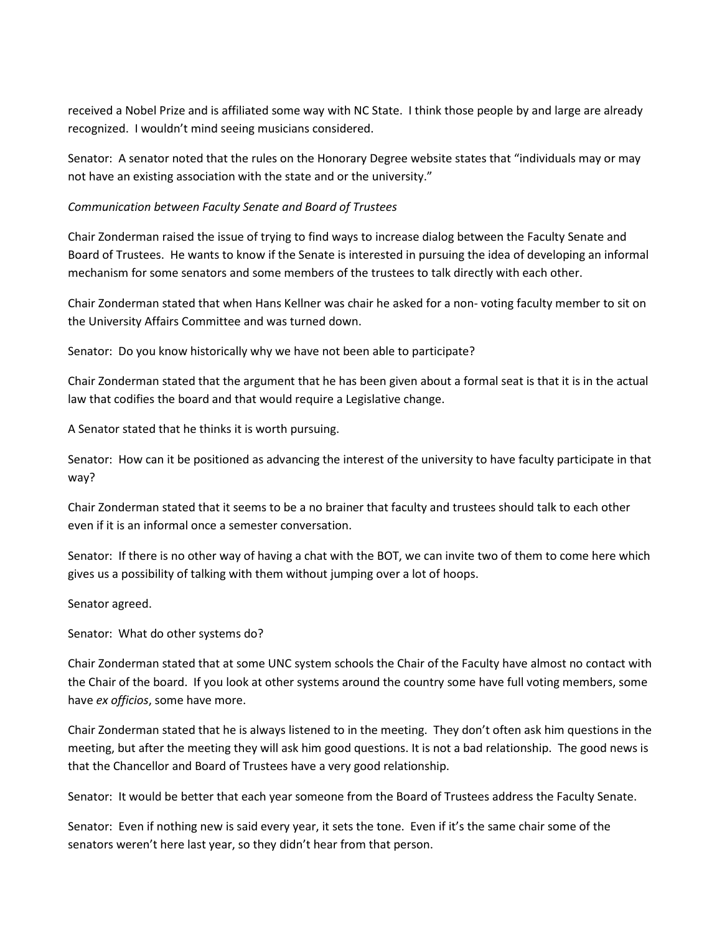received a Nobel Prize and is affiliated some way with NC State. I think those people by and large are already recognized. I wouldn't mind seeing musicians considered.

Senator: A senator noted that the rules on the Honorary Degree website states that "individuals may or may not have an existing association with the state and or the university."

### *Communication between Faculty Senate and Board of Trustees*

Chair Zonderman raised the issue of trying to find ways to increase dialog between the Faculty Senate and Board of Trustees. He wants to know if the Senate is interested in pursuing the idea of developing an informal mechanism for some senators and some members of the trustees to talk directly with each other.

Chair Zonderman stated that when Hans Kellner was chair he asked for a non- voting faculty member to sit on the University Affairs Committee and was turned down.

Senator: Do you know historically why we have not been able to participate?

Chair Zonderman stated that the argument that he has been given about a formal seat is that it is in the actual law that codifies the board and that would require a Legislative change.

A Senator stated that he thinks it is worth pursuing.

Senator: How can it be positioned as advancing the interest of the university to have faculty participate in that way?

Chair Zonderman stated that it seems to be a no brainer that faculty and trustees should talk to each other even if it is an informal once a semester conversation.

Senator: If there is no other way of having a chat with the BOT, we can invite two of them to come here which gives us a possibility of talking with them without jumping over a lot of hoops.

Senator agreed.

Senator: What do other systems do?

Chair Zonderman stated that at some UNC system schools the Chair of the Faculty have almost no contact with the Chair of the board. If you look at other systems around the country some have full voting members, some have *ex officios*, some have more.

Chair Zonderman stated that he is always listened to in the meeting. They don't often ask him questions in the meeting, but after the meeting they will ask him good questions. It is not a bad relationship. The good news is that the Chancellor and Board of Trustees have a very good relationship.

Senator: It would be better that each year someone from the Board of Trustees address the Faculty Senate.

Senator: Even if nothing new is said every year, it sets the tone. Even if it's the same chair some of the senators weren't here last year, so they didn't hear from that person.